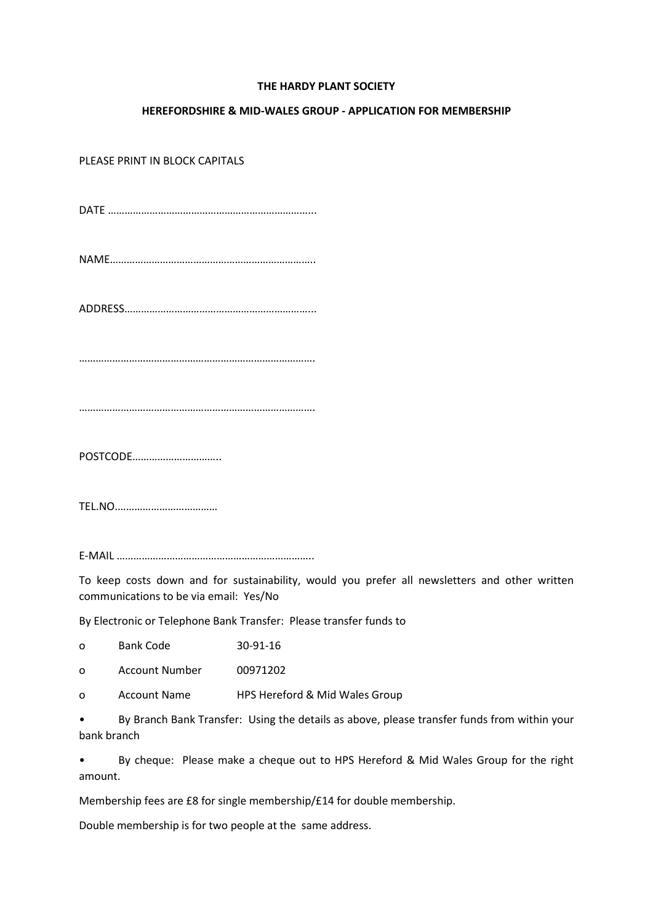## **THE HARDY PLANT SOCIETY**

## **HEREFORDSHIRE & MID-WALES GROUP - APPLICATION FOR MEMBERSHIP**

PLEASE PRINT IN BLOCK CAPITALS

DATE ………………………………………………………………...

NAME………………………………………………………………..

ADDRESS…………………………………………………………...

………………………………………………………………………….

………………………………………………………………………….

POSTCODE…………………………..

TEL.NO.………………………………

E-MAIL ……………………………………………………………..

To keep costs down and for sustainability, would you prefer all newsletters and other written communications to be via email: Yes/No

By Electronic or Telephone Bank Transfer: Please transfer funds to

o Bank Code 30-91-16

o Account Number 00971202

o Account Name HPS Hereford & Mid Wales Group

• By Branch Bank Transfer: Using the details as above, please transfer funds from within your bank branch

• By cheque: Please make a cheque out to HPS Hereford & Mid Wales Group for the right amount.

Membership fees are £8 for single membership/£14 for double membership.

Double membership is for two people at the same address.